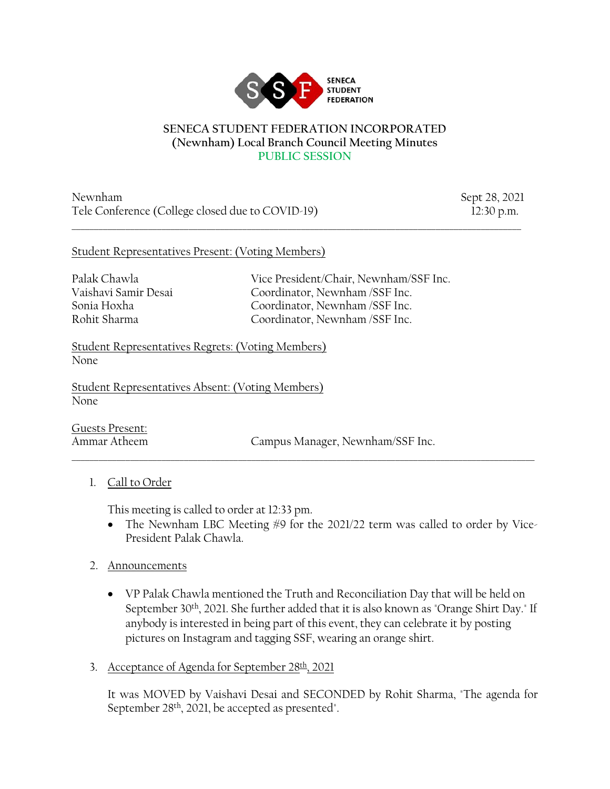

#### **SENECA STUDENT FEDERATION INCORPORATED (Newnham) Local Branch Council Meeting Minutes PUBLIC SESSION**

 $\_$  ,  $\_$  ,  $\_$  ,  $\_$  ,  $\_$  ,  $\_$  ,  $\_$  ,  $\_$  ,  $\_$  ,  $\_$  ,  $\_$  ,  $\_$  ,  $\_$  ,  $\_$  ,  $\_$  ,  $\_$  ,  $\_$  ,  $\_$  ,  $\_$  ,  $\_$  ,  $\_$  ,  $\_$  ,  $\_$  ,  $\_$  ,  $\_$  ,  $\_$  ,  $\_$  ,  $\_$  ,  $\_$  ,  $\_$  ,  $\_$  ,  $\_$  ,  $\_$  ,  $\_$  ,  $\_$  ,  $\_$  ,  $\_$  ,

Newnham Sept 28, 2021 Tele Conference (College closed due to COVID-19) 12:30 p.m.

#### Student Representatives Present: (Voting Members)

Palak Chawla Vice President/Chair, Newnham/SSF Inc. Vaishavi Samir Desai Coordinator, Newnham /SSF Inc. Sonia Hoxha Coordinator, Newnham /SSF Inc. Rohit Sharma Coordinator, Newnham /SSF Inc.

Student Representatives Regrets: (Voting Members) None

Student Representatives Absent: (Voting Members) None

Guests Present:

Ammar Atheem Campus Manager, Newnham/SSF Inc.

## 1. Call to Order

This meeting is called to order at 12:33 pm.

• The Newnham LBC Meeting #9 for the 2021/22 term was called to order by Vice-President Palak Chawla.

\_\_\_\_\_\_\_\_\_\_\_\_\_\_\_\_\_\_\_\_\_\_\_\_\_\_\_\_\_\_\_\_\_\_\_\_\_\_\_\_\_\_\_\_\_\_\_\_\_\_\_\_\_\_\_\_\_\_\_\_\_\_\_\_\_\_\_\_\_\_\_\_\_\_\_\_\_\_\_\_\_\_\_\_\_\_\_\_\_\_\_\_\_\_\_\_\_\_\_\_\_\_\_

## 2. Announcements

- VP Palak Chawla mentioned the Truth and Reconciliation Day that will be held on September 30th, 2021. She further added that it is also known as "Orange Shirt Day." If anybody is interested in being part of this event, they can celebrate it by posting pictures on Instagram and tagging SSF, wearing an orange shirt.
- 3. Acceptance of Agenda for September  $28th$ , 2021

It was MOVED by Vaishavi Desai and SECONDED by Rohit Sharma, "The agenda for September 28<sup>th</sup>, 2021, be accepted as presented".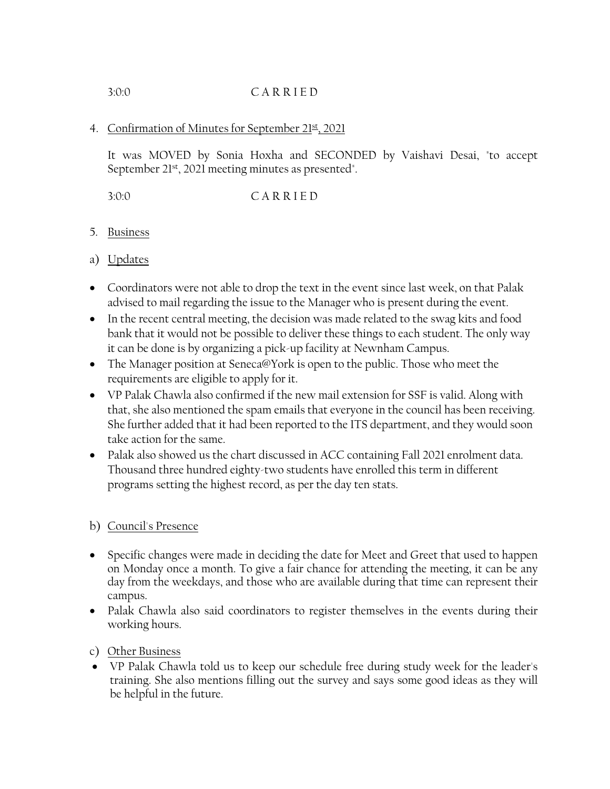# 3:0:0 C A R R I E D

## 4. Confirmation of Minutes for September 21st, 2021

It was MOVED by Sonia Hoxha and SECONDED by Vaishavi Desai, "to accept September 21st, 2021 meeting minutes as presented".

3:0:0 C A R R I E D

## 5. Business

## a) Updates

- Coordinators were not able to drop the text in the event since last week, on that Palak advised to mail regarding the issue to the Manager who is present during the event.
- In the recent central meeting, the decision was made related to the swag kits and food bank that it would not be possible to deliver these things to each student. The only way it can be done is by organizing a pick-up facility at Newnham Campus.
- The Manager position at Seneca@York is open to the public. Those who meet the requirements are eligible to apply for it.
- VP Palak Chawla also confirmed if the new mail extension for SSF is valid. Along with that, she also mentioned the spam emails that everyone in the council has been receiving. She further added that it had been reported to the ITS department, and they would soon take action for the same.
- Palak also showed us the chart discussed in ACC containing Fall 2021 enrolment data. Thousand three hundred eighty-two students have enrolled this term in different programs setting the highest record, as per the day ten stats.

## b) Council's Presence

- Specific changes were made in deciding the date for Meet and Greet that used to happen on Monday once a month. To give a fair chance for attending the meeting, it can be any day from the weekdays, and those who are available during that time can represent their campus.
- Palak Chawla also said coordinators to register themselves in the events during their working hours.
- c) Other Business
- VP Palak Chawla told us to keep our schedule free during study week for the leader's training. She also mentions filling out the survey and says some good ideas as they will be helpful in the future.